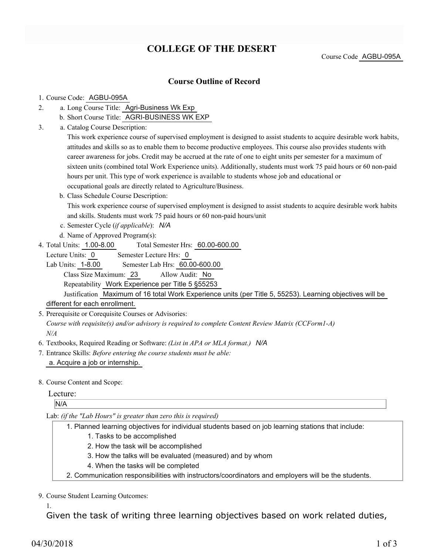## **COLLEGE OF THE DESERT**

Course Code AGBU-095A

#### **Course Outline of Record**

#### 1. Course Code: AGBU-095A

- a. Long Course Title: Agri-Business Wk Exp 2.
	- b. Short Course Title: AGRI-BUSINESS WK EXP
- Catalog Course Description: a. 3.

This work experience course of supervised employment is designed to assist students to acquire desirable work habits, attitudes and skills so as to enable them to become productive employees. This course also provides students with career awareness for jobs. Credit may be accrued at the rate of one to eight units per semester for a maximum of sixteen units (combined total Work Experience units). Additionally, students must work 75 paid hours or 60 non-paid hours per unit. This type of work experience is available to students whose job and educational or occupational goals are directly related to Agriculture/Business.

b. Class Schedule Course Description:

This work experience course of supervised employment is designed to assist students to acquire desirable work habits and skills. Students must work 75 paid hours or 60 non-paid hours/unit

- c. Semester Cycle (*if applicable*): *N/A*
- d. Name of Approved Program(s):
- Total Semester Hrs: 60.00-600.00 4. Total Units: 1.00-8.00

Lecture Units: 0 Semester Lecture Hrs: 0

Lab Units: 1-8.00 Semester Lab Hrs: 60.00-600.00 Class Size Maximum: 23 Allow Audit: No

Repeatability Work Experience per Title 5 §55253

Justification Maximum of 16 total Work Experience units (per Title 5, 55253). Learning objectives will be different for each enrollment.

5. Prerequisite or Corequisite Courses or Advisories:

*Course with requisite(s) and/or advisory is required to complete Content Review Matrix (CCForm1-A) N/A*

- 6. Textbooks, Required Reading or Software: *(List in APA or MLA format.) N/A*
- Entrance Skills: *Before entering the course students must be able:* 7. a. Acquire a job or internship.
- 8. Course Content and Scope:

#### Lecture:

N/A

Lab: *(if the "Lab Hours" is greater than zero this is required)*

- Planned learning objectives for individual students based on job learning stations that include: 1.
	- 1. Tasks to be accomplished
	- 2. How the task will be accomplished
	- 3. How the talks will be evaluated (measured) and by whom
	- 4. When the tasks will be completed
- 2. Communication responsibilities with instructors/coordinators and employers will be the students.

9. Course Student Learning Outcomes:

1.

Given the task of writing three learning objectives based on work related duties,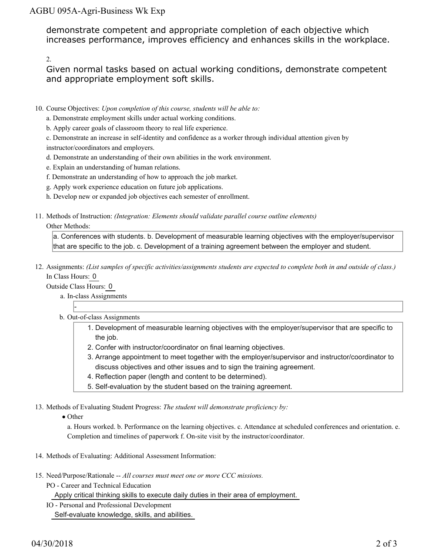### AGBU 095A-Agri-Business Wk Exp

demonstrate competent and appropriate completion of each objective which increases performance, improves efficiency and enhances skills in the workplace.

2.

Given normal tasks based on actual working conditions, demonstrate competent and appropriate employment soft skills.

- 10. Course Objectives: Upon completion of this course, students will be able to:
	- a. Demonstrate employment skills under actual working conditions.
	- b. Apply career goals of classroom theory to real life experience.

c. Demonstrate an increase in self-identity and confidence as a worker through individual attention given by instructor/coordinators and employers.

- d. Demonstrate an understanding of their own abilities in the work environment.
- e. Explain an understanding of human relations.
- f. Demonstrate an understanding of how to approach the job market.
- g. Apply work experience education on future job applications.
- h. Develop new or expanded job objectives each semester of enrollment.
- Methods of Instruction: *(Integration: Elements should validate parallel course outline elements)* 11.

#### Other Methods:

a. Conferences with students. b. Development of measurable learning objectives with the employer/supervisor that are specific to the job. c. Development of a training agreement between the employer and student.

12. Assignments: (List samples of specific activities/assignments students are expected to complete both in and outside of class.) In Class Hours: 0

Outside Class Hours: 0

-

- a. In-class Assignments
- b. Out-of-class Assignments
	- 1. Development of measurable learning objectives with the employer/supervisor that are specific to the job.
	- 2. Confer with instructor/coordinator on final learning objectives.
	- Arrange appointment to meet together with the employer/supervisor and instructor/coordinator to 3. discuss objectives and other issues and to sign the training agreement.
	- 4. Reflection paper (length and content to be determined).
	- 5. Self-evaluation by the student based on the training agreement.

13. Methods of Evaluating Student Progress: The student will demonstrate proficiency by:

• Other

a. Hours worked. b. Performance on the learning objectives. c. Attendance at scheduled conferences and orientation. e. Completion and timelines of paperwork f. On-site visit by the instructor/coordinator.

- 14. Methods of Evaluating: Additional Assessment Information:
- 15. Need/Purpose/Rationale -- All courses must meet one or more CCC missions.
	- PO Career and Technical Education

Apply critical thinking skills to execute daily duties in their area of employment.

IO - Personal and Professional Development

Self-evaluate knowledge, skills, and abilities.